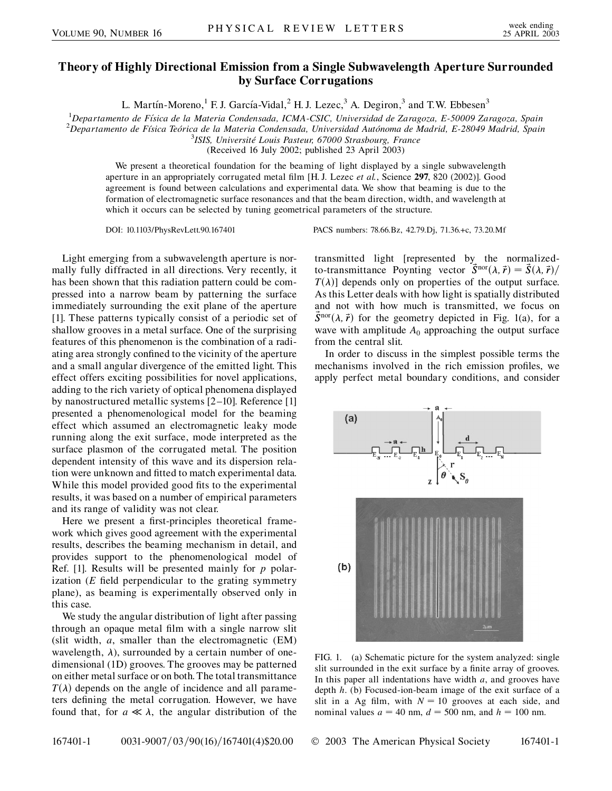## **Theory of Highly Directional Emission from a Single Subwavelength Aperture Surrounded by Surface Corrugations**

L. Martín-Moreno,<sup>1</sup> F. J. García-Vidal,<sup>2</sup> H. J. Lezec,<sup>3</sup> A. Degiron,<sup>3</sup> and T.W. Ebbesen<sup>3</sup>

<sup>1</sup>Departamento de Física de la Materia Condensada, ICMA-CSIC, Universidad de Zaragoza, E-50009 Zaragoza, Spain<br><sup>2</sup>Departamento de Física Teórica de la Materia Condensada, Universidad Autónoma de Madrid, E 28040 Madrid, Sp

<sup>2</sup>Departamento de Física Teórica de la Materia Condensada, Universidad Autónoma de Madrid, E-28049 Madrid, Spain

*ISIS, Universite´ Louis Pasteur, 67000 Strasbourg, France*

(Received 16 July 2002; published 23 April 2003)

We present a theoretical foundation for the beaming of light displayed by a single subwavelength aperture in an appropriately corrugated metal film [H. J. Lezec *et al.*, Science **297**, 820 (2002)]. Good agreement is found between calculations and experimental data. We show that beaming is due to the formation of electromagnetic surface resonances and that the beam direction, width, and wavelength at which it occurs can be selected by tuning geometrical parameters of the structure.

DOI: 10.1103/PhysRevLett.90.167401 PACS numbers: 78.66.Bz, 42.79.Dj, 71.36.+c, 73.20.Mf

Light emerging from a subwavelength aperture is normally fully diffracted in all directions. Very recently, it has been shown that this radiation pattern could be compressed into a narrow beam by patterning the surface immediately surrounding the exit plane of the aperture [1]. These patterns typically consist of a periodic set of shallow grooves in a metal surface. One of the surprising features of this phenomenon is the combination of a radiating area strongly confined to the vicinity of the aperture and a small angular divergence of the emitted light. This effect offers exciting possibilities for novel applications, adding to the rich variety of optical phenomena displayed by nanostructured metallic systems [2–10]. Reference [1] presented a phenomenological model for the beaming effect which assumed an electromagnetic leaky mode running along the exit surface, mode interpreted as the surface plasmon of the corrugated metal. The position dependent intensity of this wave and its dispersion relation were unknown and fitted to match experimental data. While this model provided good fits to the experimental results, it was based on a number of empirical parameters and its range of validity was not clear.

Here we present a first-principles theoretical framework which gives good agreement with the experimental results, describes the beaming mechanism in detail, and provides support to the phenomenological model of Ref. [1]. Results will be presented mainly for *p* polarization (*E* field perpendicular to the grating symmetry plane), as beaming is experimentally observed only in this case.

We study the angular distribution of light after passing through an opaque metal film with a single narrow slit (slit width, *a*, smaller than the electromagnetic (EM) wavelength,  $\lambda$ ), surrounded by a certain number of onedimensional (1D) grooves. The grooves may be patterned on either metal surface or on both. The total transmittance  $T(\lambda)$  depends on the angle of incidence and all parameters defining the metal corrugation. However, we have found that, for  $a \ll \lambda$ , the angular distribution of the

transmitted light [represented by the normalizedto-transmittance Poynting vector  $\vec{S}^{\text{nor}}(\lambda, \vec{r}) = \vec{S}(\lambda, \vec{r})/r$  $T(\lambda)$ ] depends only on properties of the output surface. As this Letter deals with how light is spatially distributed and not with how much is transmitted, we focus on  $\vec{S}^{nor}(\lambda, \vec{r})$  for the geometry depicted in Fig. 1(a), for a wave with amplitude  $A_0$  approaching the output surface from the central slit.

In order to discuss in the simplest possible terms the mechanisms involved in the rich emission profiles, we apply perfect metal boundary conditions, and consider



FIG. 1. (a) Schematic picture for the system analyzed: single slit surrounded in the exit surface by a finite array of grooves. In this paper all indentations have width *a*, and grooves have depth *h*. (b) Focused-ion-beam image of the exit surface of a slit in a Ag film, with  $N = 10$  grooves at each side, and nominal values  $a = 40$  nm,  $d = 500$  nm, and  $h = 100$  nm.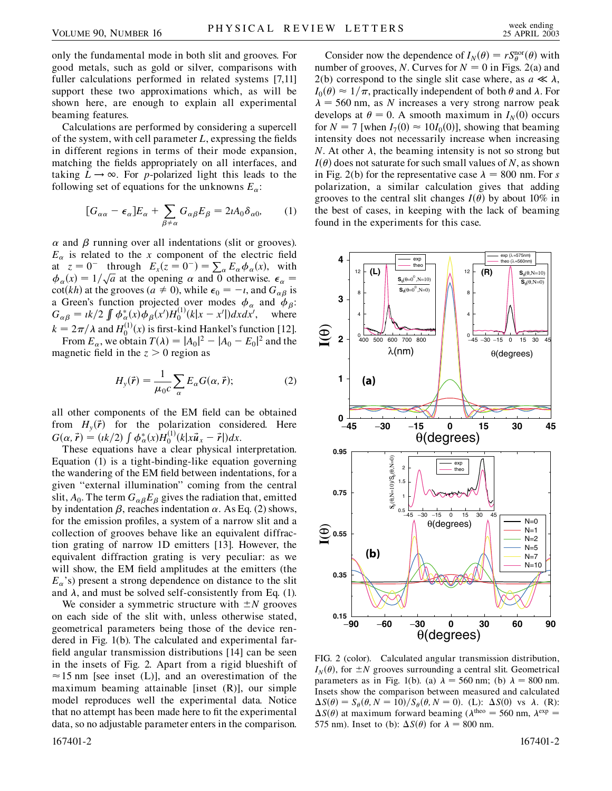only the fundamental mode in both slit and grooves. For good metals, such as gold or silver, comparisons with fuller calculations performed in related systems [7,11] support these two approximations which, as will be shown here, are enough to explain all experimental beaming features.

Calculations are performed by considering a supercell of the system, with cell parameter *L*, expressing the fields in different regions in terms of their mode expansion, matching the fields appropriately on all interfaces, and taking  $L \rightarrow \infty$ . For *p*-polarized light this leads to the following set of equations for the unknowns  $E_a$ :

$$
[G_{\alpha\alpha} - \epsilon_{\alpha}]E_{\alpha} + \sum_{\beta \neq \alpha} G_{\alpha\beta}E_{\beta} = 2iA_0\delta_{\alpha 0}, \qquad (1)
$$

 $\alpha$  and  $\beta$  running over all indentations (slit or grooves).  $E_{\alpha}$  is related to the *x* component of the electric field at  $z = 0^-$  through  $E_x(z = 0^-) = \sum_{\alpha} E_{\alpha} \phi_{\alpha}(x)$ , with at  $z = 0$  infough  $E_x(z = 0) = \sum_{\alpha} E_{\alpha} \varphi_{\alpha}(x)$ , with  $\phi_{\alpha}(x) = 1/\sqrt{a}$  at the opening  $\alpha$  and 0 otherwise.  $\epsilon_{\alpha} =$  $\cot(kh)$  at the grooves ( $a \neq 0$ ), while  $\epsilon_0 = -i$ , and  $G_{\alpha\beta}$  is a Green's function projected over modes  $\phi_{\alpha}$  and  $\phi_{\beta}$ :  $G_{\alpha\beta} = ik/2 \int \phi_{\alpha}^{*}(x) \phi_{\beta}(x') H_0^{(1)}(k|x - x'|) dxdx',$  where  $k = 2\pi/\lambda$  and  $H_0^{(1)}(x)$  is first-kind Hankel's function [12].

From  $E_\alpha$ , we obtain  $T(\lambda) = |A_0|^2 - |A_0 - E_0|^2$  and the magnetic field in the  $z > 0$  region as

$$
H_{y}(\vec{r}) = \frac{1}{\mu_{0}c} \sum_{\alpha} E_{\alpha} G(\alpha, \vec{r});
$$
 (2)

all other components of the EM field can be obtained from  $H_y(\vec{r})$  for the polarization considered. Here  $G(\alpha, \vec{r}) = (ik/2) \int \phi_{\alpha}^{*}(x) H_0^{(1)}(k|x\vec{u}_x - \vec{r}|) dx.$ 

These equations have a clear physical interpretation. Equation (1) is a tight-binding-like equation governing the wandering of the EM field between indentations, for a given "external illumination" coming from the central slit,  $A_0$ . The term  $G_{\alpha\beta}E_{\beta}$  gives the radiation that, emitted by indentation  $\beta$ , reaches indentation  $\alpha$ . As Eq. (2) shows, for the emission profiles, a system of a narrow slit and a collection of grooves behave like an equivalent diffraction grating of narrow 1D emitters [13]. However, the equivalent diffraction grating is very peculiar: as we will show, the EM field amplitudes at the emitters (the  $E_{\alpha}$ 's) present a strong dependence on distance to the slit and  $\lambda$ , and must be solved self-consistently from Eq. (1).

We consider a symmetric structure with  $\pm N$  grooves on each side of the slit with, unless otherwise stated, geometrical parameters being those of the device rendered in Fig. 1(b). The calculated and experimental farfield angular transmission distributions [14] can be seen in the insets of Fig. 2. Apart from a rigid blueshift of  $\approx$  15 nm [see inset (L)], and an overestimation of the maximum beaming attainable  $[insert (R)]$ , our simple model reproduces well the experimental data. Notice that no attempt has been made here to fit the experimental data, so no adjustable parameter enters in the comparison.

Consider now the dependence of  $I_N(\theta) = rS_\theta^{\text{nor}}(\theta)$  with number of grooves, *N*. Curves for  $N = 0$  in Figs. 2(a) and 2(b) correspond to the single slit case where, as  $a \ll \lambda$ ,  $I_0(\theta) \approx 1/\pi$ , practically independent of both  $\theta$  and  $\lambda$ . For  $\lambda = 560$  nm, as *N* increases a very strong narrow peak develops at  $\theta = 0$ . A smooth maximum in  $I_N(0)$  occurs for  $N = 7$  [when  $I_7(0) \approx 10I_0(0)$ ], showing that beaming intensity does not necessarily increase when increasing *N*. At other  $\lambda$ , the beaming intensity is not so strong but  $I(\theta)$  does not saturate for such small values of *N*, as shown in Fig. 2(b) for the representative case  $\lambda = 800$  nm. For *s* polarization, a similar calculation gives that adding grooves to the central slit changes  $I(\theta)$  by about 10% in the best of cases, in keeping with the lack of beaming found in the experiments for this case.



FIG. 2 (color). Calculated angular transmission distribution,  $I_N(\theta)$ , for  $\pm N$  grooves surrounding a central slit. Geometrical parameters as in Fig. 1(b). (a)  $\lambda = 560$  nm; (b)  $\lambda = 800$  nm. Insets show the comparison between measured and calculated  $\Delta S(\theta) = S_{\theta}(\theta, N = 10)/S_{\theta}(\theta, N = 0)$ . (L):  $\Delta S(0)$  vs  $\lambda$ . (R):  $\Delta S(\theta)$  at maximum forward beaming ( $\lambda^{\text{theo}} = 560$  nm,  $\lambda^{\text{exp}} =$ 575 nm). Inset to (b):  $\Delta S(\theta)$  for  $\lambda = 800$  nm.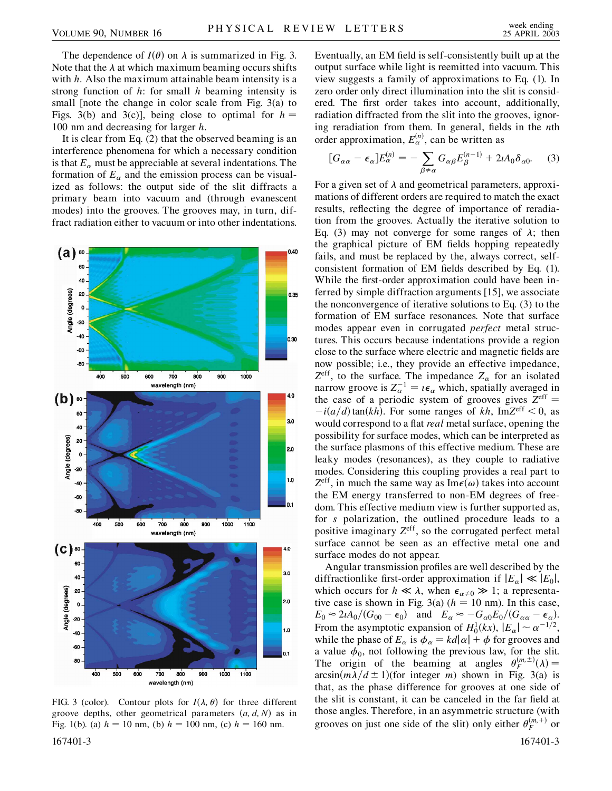The dependence of  $I(\theta)$  on  $\lambda$  is summarized in Fig. 3. Note that the  $\lambda$  at which maximum beaming occurs shifts with *h*. Also the maximum attainable beam intensity is a strong function of *h*: for small *h* beaming intensity is small [note the change in color scale from Fig. 3(a) to Figs. 3(b) and 3(c)], being close to optimal for  $h =$ 100 nm and decreasing for larger *h*.

It is clear from Eq. (2) that the observed beaming is an interference phenomena for which a necessary condition is that  $E_{\alpha}$  must be appreciable at several indentations. The formation of  $E_\alpha$  and the emission process can be visualized as follows: the output side of the slit diffracts a primary beam into vacuum and (through evanescent modes) into the grooves. The grooves may, in turn, diffract radiation either to vacuum or into other indentations.



FIG. 3 (color). Contour plots for  $I(\lambda, \theta)$  for three different groove depths, other geometrical parameters  $(a, d, N)$  as in Fig. 1(b). (a)  $h = 10$  nm, (b)  $h = 100$  nm, (c)  $h = 160$  nm.

Eventually, an EM field is self-consistently built up at the output surface while light is reemitted into vacuum. This view suggests a family of approximations to Eq. (1). In zero order only direct illumination into the slit is considered. The first order takes into account, additionally, radiation diffracted from the slit into the grooves, ignoring reradiation from them. In general, fields in the *n*th order approximation,  $E_{\alpha}^{(n)}$ , can be written as

$$
[G_{\alpha\alpha} - \epsilon_{\alpha}]E_{\alpha}^{(n)} = -\sum_{\beta \neq \alpha} G_{\alpha\beta} E_{\beta}^{(n-1)} + 2iA_0 \delta_{\alpha 0}.
$$
 (3)

For a given set of  $\lambda$  and geometrical parameters, approximations of different orders are required to match the exact results, reflecting the degree of importance of reradiation from the grooves. Actually the iterative solution to Eq. (3) may not converge for some ranges of  $\lambda$ ; then the graphical picture of EM fields hopping repeatedly fails, and must be replaced by the, always correct, selfconsistent formation of EM fields described by Eq. (1). While the first-order approximation could have been inferred by simple diffraction arguments [15], we associate the nonconvergence of iterative solutions to Eq. (3) to the formation of EM surface resonances. Note that surface modes appear even in corrugated *perfect* metal structures. This occurs because indentations provide a region close to the surface where electric and magnetic fields are now possible; i.e., they provide an effective impedance,  $Z^{\text{eff}}$ , to the surface. The impedance  $Z_{\alpha}$  for an isolated narrow groove is  $Z_{\alpha}^{-1} = i\epsilon_{\alpha}$  which, spatially averaged in the case of a periodic system of grooves gives  $Z^{\text{eff}}$  =  $-i(a/d)$  tan(*kh*). For some ranges of *kh*, Im $Z^{\text{eff}}$  < 0, as would correspond to a flat *real* metal surface, opening the possibility for surface modes, which can be interpreted as the surface plasmons of this effective medium. These are leaky modes (resonances), as they couple to radiative modes. Considering this coupling provides a real part to  $Z^{\text{eff}}$ , in much the same way as Im $\epsilon(\omega)$  takes into account the EM energy transferred to non-EM degrees of freedom. This effective medium view is further supported as, for *s* polarization, the outlined procedure leads to a positive imaginary *Z*eff, so the corrugated perfect metal surface cannot be seen as an effective metal one and surface modes do not appear.

Angular transmission profiles are well described by the diffractionlike first-order approximation if  $|E_{\alpha}| \ll |E_0|$ , which occurs for  $h \ll \lambda$ , when  $\epsilon_{\alpha \neq 0} \gg 1$ ; a representative case is shown in Fig. 3(a)  $(h = 10 \text{ nm})$ . In this case,  $E_0 \approx 2\iota A_0/(G_{00} - \epsilon_0)$  and  $E_\alpha \approx -G_{\alpha 0}E_0/(G_{\alpha \alpha} - \epsilon_\alpha)$ . From the asymptotic expansion of  $H_0^1(kx)$ ,  $|E_\alpha| \sim \alpha^{-1/2}$ , while the phase of  $E_{\alpha}$  is  $\phi_{\alpha} = kd|\alpha| + \phi$  for grooves and a value  $\phi_0$ , not following the previous law, for the slit. The origin of the beaming at angles  $\theta_F^{(m,\pm)}(\lambda) =$  $arcsin(m\lambda/d \pm 1)$  (for integer *m*) shown in Fig. 3(a) is that, as the phase difference for grooves at one side of the slit is constant, it can be canceled in the far field at those angles. Therefore, in an asymmetric structure (with grooves on just one side of the slit) only either  $\theta_F^{(m,+)}$  or